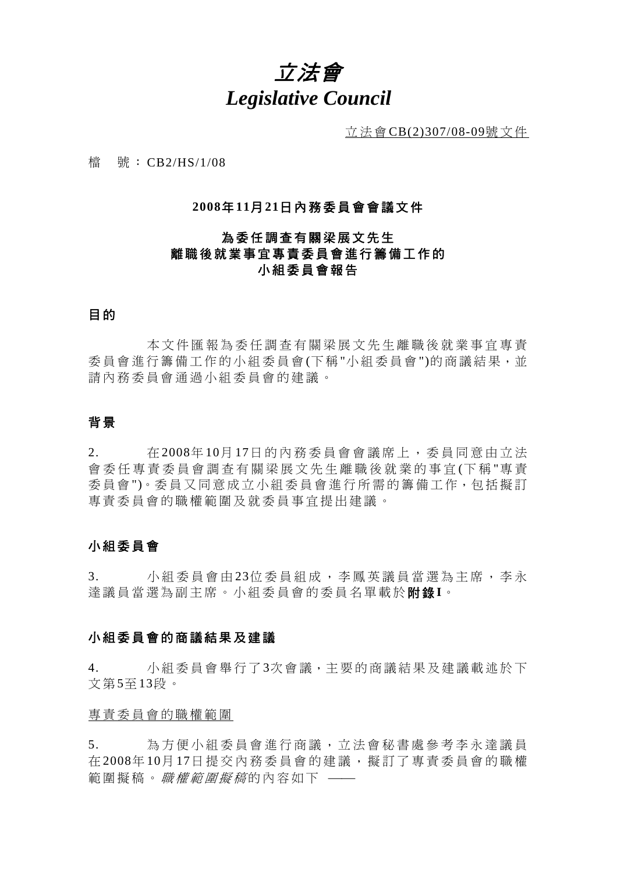# 立法會 *Legislative Council*

立法會 CB(2)307/08-09號文件

檔 號: CB2/HS/1/08

#### **2008**年 **11**月 **21**日內務委員會會議文件

# 為委任調查有關梁展文先生 離職後就業事宜專責委員會進行籌備工作的 小組委員會報告

# 目 的

 本文件匯報為委任調查有關梁 展文先生離職後就業事宜專責 委員會進行籌備工作的小組委員會(下稱"小組委員會")的商議結果,並 請內務委員會通過小組委員會的建議。

## 背 景

2. 在 2008年 10月 17日的內務委員會會議席 上,委員同意由立法 會委任專責委員會調查有關梁展文先生離職後就業的事宜 (下 稱 "專 責 委員會")。委員又同意成立小組委員會進行所需的籌備工作,包括擬訂 專責委員會的職權範圍及就委員事宜提出建議。

## 小組委員會

3. 小組委員會由 23位委員組成,李鳳英議員當選為主席,李永 達議員當選為副主席。小組委 員會的委員名單載於附 錄**I**。

#### 小組委員會的商議結果及建議

4. 小組委員會舉行了3次會議,主要的商議結果及建議載述於下 文 第5至13段。

#### 專責委員會的職權範圍

5. 為方便小組委員會進行商議, 立法會秘書處參考李永達議員 在 2008年 10月 17日提交內務委員會的建議, 擬訂了專責委員會的職權 範圍擬稿。 職權範圍擬稿的內容如下 ––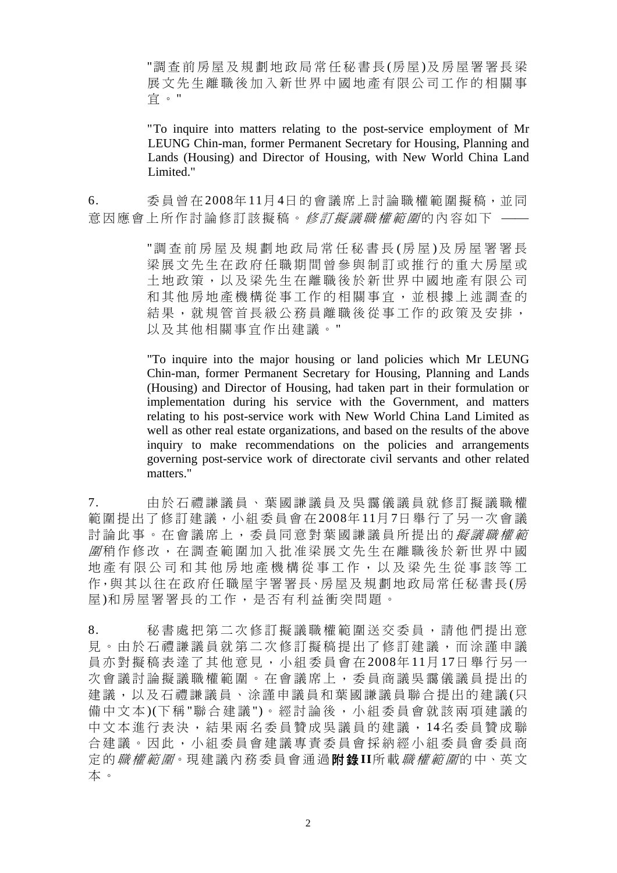"調查前房屋及規劃地政局常任秘書長(房屋)及房屋署署長梁 展文先生離職後加入新世界中國地產有限公司工作的相關事 宜 。"

"To inquire into matters relating to the post-service employment of Mr LEUNG Chin-man, former Permanent Secretary for Housing, Planning and Lands (Housing) and Director of Housing, with New World China Land Limited."

6. 委員曾在2008年 11月 4日的會議席上討論職權範圍擬稿,並同 意因應會上所作討論修訂該擬稿。修訂擬議職權範圍的內容如下 ——

> "調査前房屋及規劃地政局常任秘書長(房屋)及房屋署署長 梁展文先生在政府任職期間曾參與制訂或推行的重大房屋或 土地政策,以及梁先生在離職 後於新世界中國地產有限公司 和其他房地產機構從事工作的相關事宜,並根據上述調查的 結果,就規管首長級公務員離職後從事工作的政策及安排, 以及其他相關事宜作出建議。 "

> "To inquire into the major housing or land policies which Mr LEUNG Chin-man, former Permanent Secretary for Housing, Planning and Lands (Housing) and Director of Housing, had taken part in their formulation or implementation during his service with the Government, and matters relating to his post-service work with New World China Land Limited as well as other real estate organizations, and based on the results of the above inquiry to make recommendations on the policies and arrangements governing post-service work of directorate civil servants and other related matters."

7. 由於石禮謙議員、葉國謙議員 及吳靄儀議員就修訂擬議職權 範圍提出了修訂建議,小組委員會在 2008年 11月 7日舉行了另一次會議 討論此事。在會議席上,委員同意對葉國謙議員所提出的*擬議職權範* 圍 稍作修改,在調查範圍加入批准梁展 文先生在離職後於新世界中國 地產有限公司和其他房地產機構從事 工作,以及梁先生從事該等工 作,與其以往在政府任職屋宇署署長、房屋及規劃地政局常任秘書長(房 屋 )和房屋署署長的工作,是否有利益衝突問題。

8. 秘書處把第二次修訂擬議職權範圍送交委員,請他們提出意 見。由於石禮謙議員就第二次修訂擬稿提出了修訂建議,而涂謹申議 員亦對擬稿表達了其他意見,小組委員會在 2008年11月17日舉行另一 次會議討論擬議職權範圍。在會議席上,委員商議吳靄儀議員提出的 建議,以及石禮謙議員、涂謹申議員和葉國謙議員聯合提出的建議(只 備中文本)(下稱"聯合建議")。經討論後,小組委員會就該兩項建議的 中文本進行表決,結果兩名委 員贊成吳議員的建議, 14名委員贊成聯 合建議。因此,小組委員會建議專責委 員會採納經小組委員會委員商 定 的職權範圍。現建議內務委員會通過附 錄 **II**所 載職權範圍的中、英文 本 。

2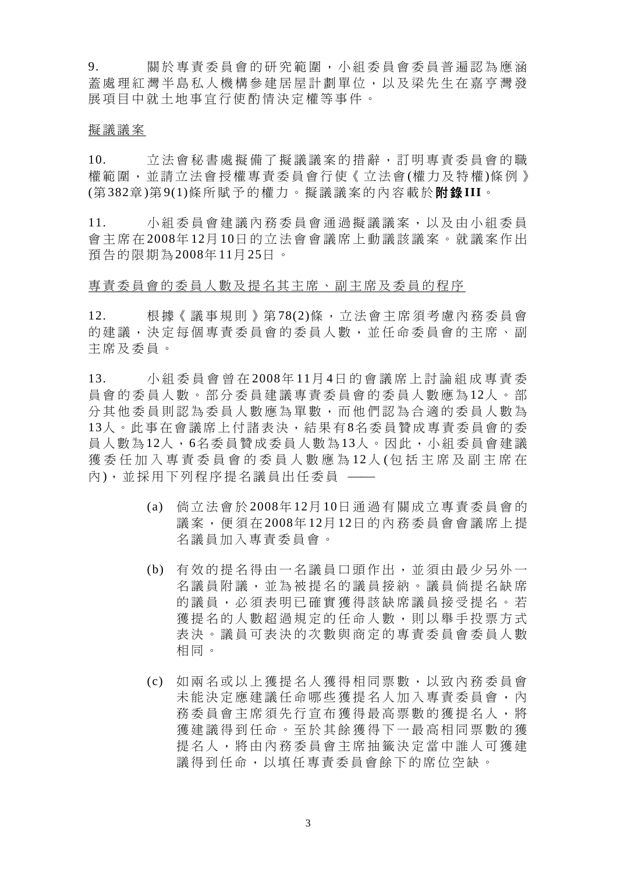9. 關於專責委員會的研究範圍, 小組委員會委員普遍認為應涵 蓋處 理紅灣半島私人機構參建居屋計劃單位,以及梁先生在嘉亨灣發 展 項目中就土地事宜行使酌情 決定權等事件。

#### 擬議議案

10. 立法會秘書處擬備了擬議議案的措辭,訂明專責委員會的職 權範圍,並請立法會 授權專責委員會行 使《立法會(權 力及 特權)條例》 (第382章)第 9(1)條所 賦予的權 力。擬議議案的內容載於附 錄 **III**。

11. 小組委員會建議內務委員會通過擬議議 案 ,以及由小組委員 會主席在 2008年 12月 10日的立法會會議席上 動 議該議 案 。就議 案 作 出 預 告的限期為2008年 11月 25日 。

#### 專責委員會的委員人 數及提名其主席、副主席及委員的程 序

12. 根據《議事規則》第78(2)條,立法會主席須考慮內務委員會 的建議,決定每個專責委員會的委員人數,並任命委員會的主席、副 主席及委員。

13. 小組委員會曾在 2008年 11月 4日的會議席上討論組成專責委 員會的委員 人 數 。 部 分 委員建議專責委員會的委員 人 數 應 為 12人 。 部 分其他委員則認為委員人數應為單數,而他們認為合適的委員人數為 13人。此事在會議席上付諸表決,結果有8名委員贊成專責委員會的委 員 人數為12人,6名委員贊成委員人數 為13人。因此,小組委員會建議 獲委任加入專責委員會的委員人數應為12人(包括主席及副主席在 內),並採用下列程序提名議員出任委員 ––

- (a) 倘 立法會於 2008年 12月 10日通過有關成立專責委員會的 議 案 , 便 須 在 2008年 12月 12日的內務委員會會議席上提 名議員加入專責委員會。
- (b) 有效的提名得由一名議員口頭作出,並須由最少另外一 名議員附議,並為被提名的議員接納。議員倘提名缺席 的議員, 必 須 表 明 已 確 實 獲 得 該 缺 席 議 員 接 受 提 名 。 若 獲提名的人數超過規定的任命人數,則以舉手投票方式 表決。議員可表決的次數與商定的專責委員會委員人數 相同。
- (c) 如兩名或以上 獲 提 名 人獲得 相 同 票 數 , 以 致 內務委員會 未能決定應建議任命哪些獲提名人加入專責委員會,內 務委員會主席須先行宣布獲得最高票數的獲提名人,將 獲建議得到任命。至於其餘獲得下一最高相同票數的獲 提 名 人 , 將 由內務委員會主席 抽 籤 決定當中 誰人可獲 建 議 得到任命 ,以填任專責委員會餘下的席位空缺 。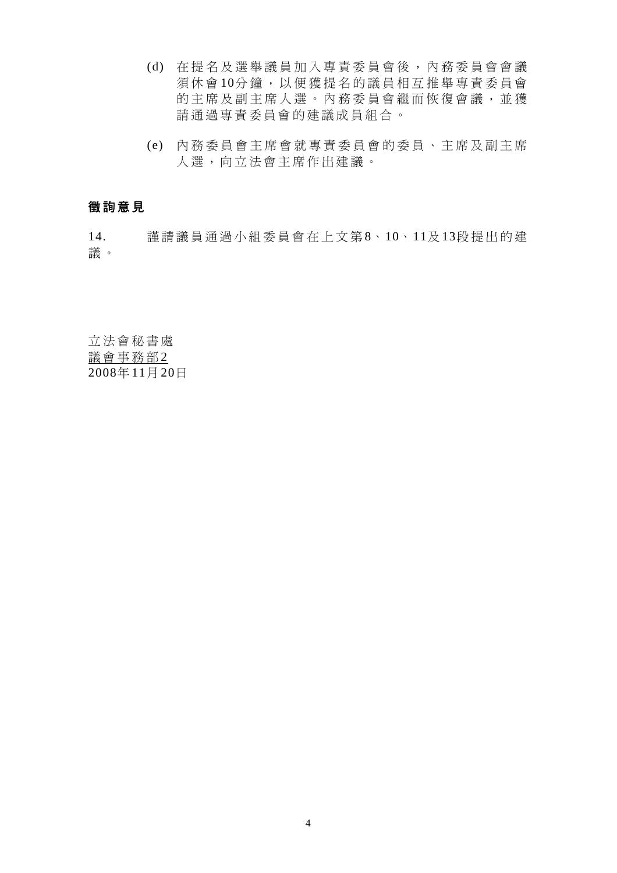- (d) 在提名及選舉議員加入專責委 員會後,內務委員會會議 須休會10分鐘,以便獲提名的議員相互推舉專責委員會 的主席及副主席人選。內務委員會繼而恢復會議,並獲 請通過專責委員會的建議成員組合。
- (e) 內務委員會主席會就專責委員 會的委員、主席及副主席 人選,向立法會主席作出建議。

# 徵詢意見

14. 謹請議員通過小組委員會在上文第 8、10、11及 13段提出的建 議 。

立法會秘書處 議會事務部2 2008年 11月 20日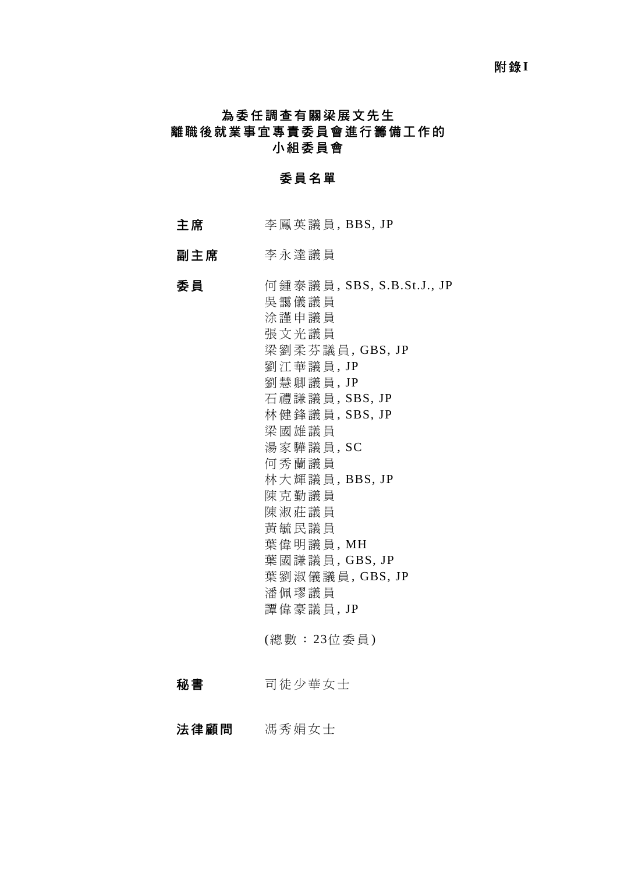#### **附錄I**

# 為委任調查有關梁展文先生 離職後就業事宜專責委員會進行籌備工作的 小組委員會

## 委員名單

- 主席 李鳳英議員, BBS, JP
- 副主席 李永達議員

# 委 員 何鍾泰議員 , SBS, S.B.St.J., JP 吳靄儀議員 涂謹申議員 張 文光議員 梁 劉柔芬議 員, GBS, JP 劉江華議員 , JP 劉慧卿議員 , JP 石禮謙議員 , SBS, JP 林健鋒議員 , SBS, JP 梁 國雄議員 湯家驊議員 , SC 何秀蘭議員 林 大輝議員 , BBS, JP 陳克勤議員 陳淑莊議員 黃毓民議員 葉偉明議員, MH 葉國謙議員, GBS, JP 葉 劉淑儀議員, GBS, JP 潘佩璆議員 譚偉豪議員 , JP (總數: 23位委員)

秘書 司徒少華女士

法律顧問 馮秀娟女士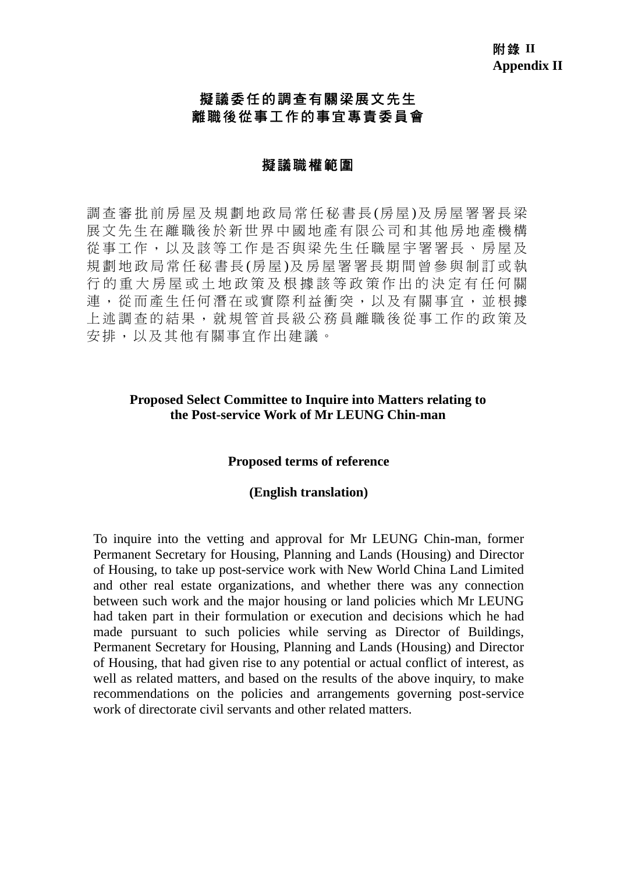# 擬議委任的調查有關梁展文先生 離職後從事工作的事宜專責委員會

## 擬議職權範圍

調查審批前房屋及規劃地政局常任秘書長(房屋)及房屋署署長梁 展文先生在離職後於新世界中國地產 有限公司和其他房地產機構 從事工作,以及該等工作是否與梁先生任職屋宇署署長、房屋及 規劃地政局常任秘書長(房屋)及房屋署署長期間曾參與制訂或執 行的重大房屋或土地政策及根據該等政策作出的決定有任何關 連,從而產生任何潛在或實際利益衝突,以及有關事宜,並根據 上述調查的結果,就規管首長級公務 員離職後從事工作的政策及 安排,以及其他有關事宜作出建議。

## **Proposed Select Committee to Inquire into Matters relating to the Post-service Work of Mr LEUNG Chin-man**

## **Proposed terms of reference**

#### **(English translation)**

To inquire into the vetting and approval for Mr LEUNG Chin-man, former Permanent Secretary for Housing, Planning and Lands (Housing) and Director of Housing, to take up post-service work with New World China Land Limited and other real estate organizations, and whether there was any connection between such work and the major housing or land policies which Mr LEUNG had taken part in their formulation or execution and decisions which he had made pursuant to such policies while serving as Director of Buildings, Permanent Secretary for Housing, Planning and Lands (Housing) and Director of Housing, that had given rise to any potential or actual conflict of interest, as well as related matters, and based on the results of the above inquiry, to make recommendations on the policies and arrangements governing post-service work of directorate civil servants and other related matters.